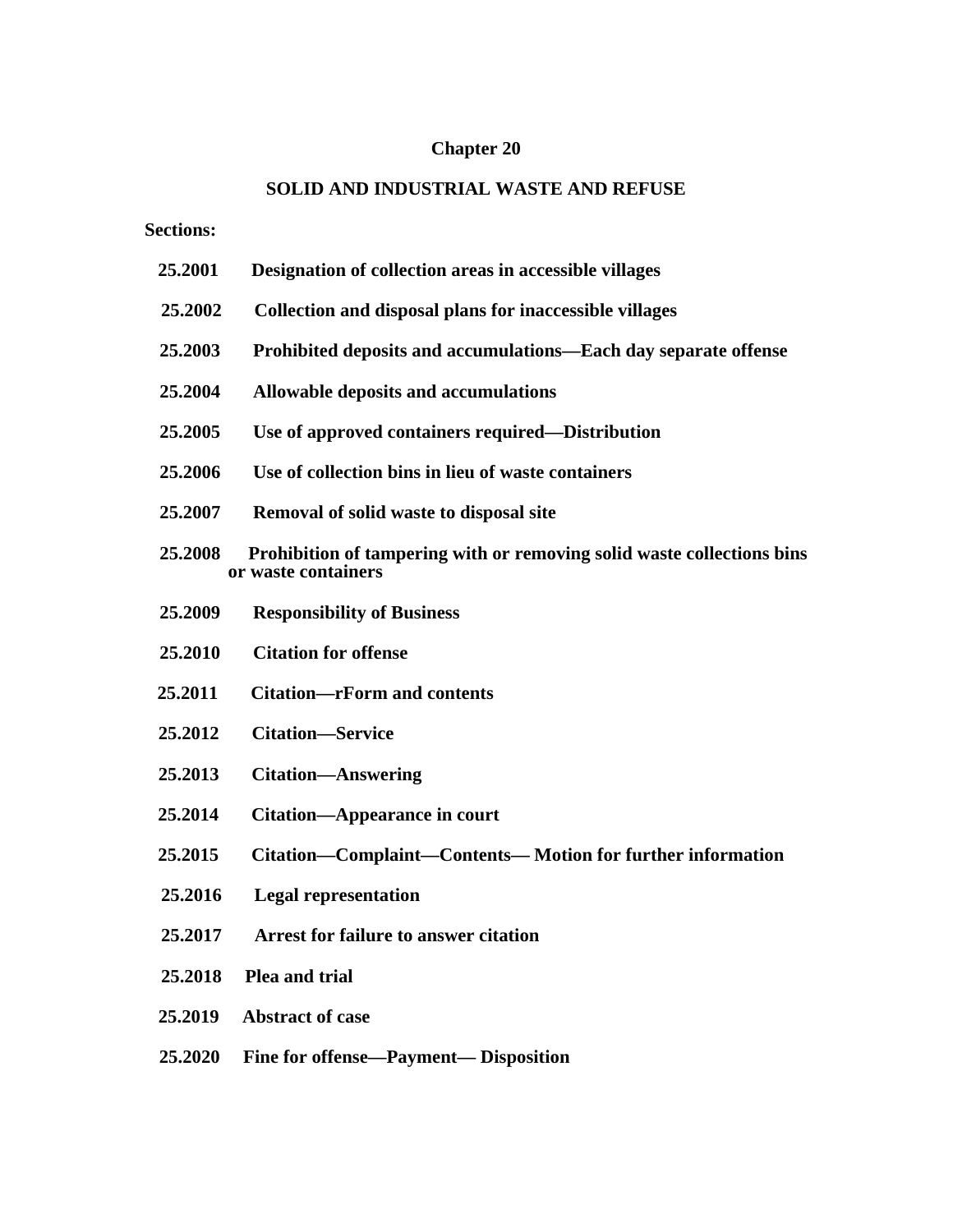### **Chapter 20**

## **SOLID AND INDUSTRIAL WASTE AND REFUSE**

**Sections:**

- **25.2001 Designation of collection areas in accessible villages**
- **25.2002 Collection and disposal plans for inaccessible villages**
- **25.2003 Prohibited deposits and accumulations—Each day separate offense**
- **25.2004 Allowable deposits and accumulations**
- **25.2005 Use of approved containers required—Distribution**
- **25.2006 Use of collection bins in lieu of waste containers**
- **25.2007 Removal of solid waste to disposal site**
- **25.2008 Prohibition of tampering with or removing solid waste collections bins or waste containers**
- **25.2009 Responsibility of Business**
- **25.2010 Citation for offense**
- **25.2011 Citation—rForm and contents**
- **25.2012 Citation—Service**
- **25.2013 Citation—Answering**
- **25.2014 Citation—Appearance in court**
- **25.2015 Citation—Complaint—Contents— Motion for further information**
- **25.2016 Legal representation**
- **25.2017 Arrest for failure to answer citation**
- **25.2018 Plea and trial**
- **25.2019 Abstract of case**
- **25.2020 Fine for offense—Payment— Disposition**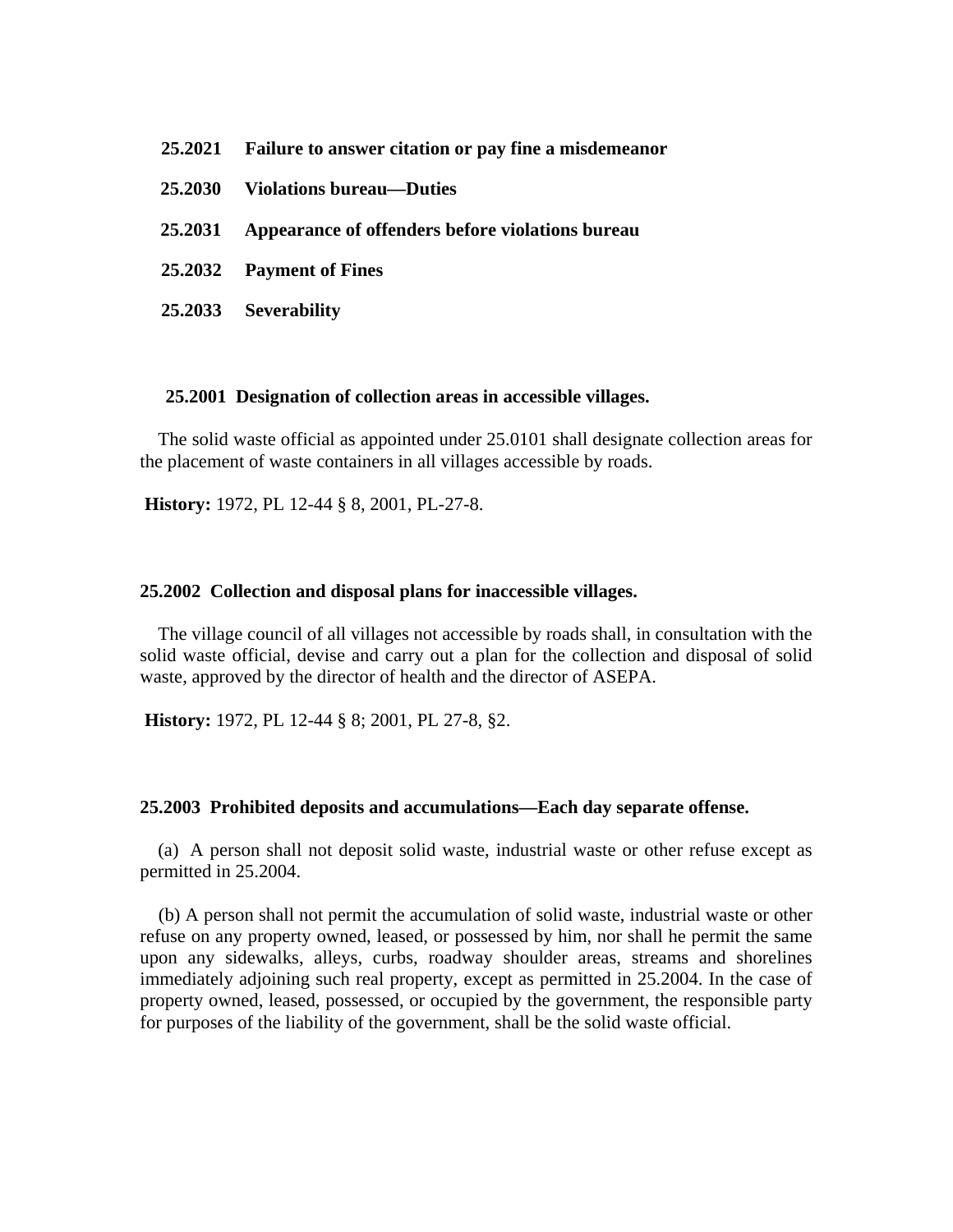| 25.2021 Failure to answer citation or pay fine a misdemean or |
|---------------------------------------------------------------|
| 25.2030 Violations bureau—Duties                              |
| 25.2031 Appearance of offenders before violations bureau      |
| 25.2032 Payment of Fines                                      |
| 25.2033 Severability                                          |

#### **25.2001 Designation of collection areas in accessible villages.**

The solid waste official as appointed under 25.0101 shall designate collection areas for the placement of waste containers in all villages accessible by roads.

**History:** 1972, PL 12-44 § 8, 2001, PL-27-8.

#### **25.2002 Collection and disposal plans for inaccessible villages.**

The village council of all villages not accessible by roads shall, in consultation with the solid waste official, devise and carry out a plan for the collection and disposal of solid waste, approved by the director of health and the director of ASEPA.

**History:** 1972, PL 12-44 § 8; 2001, PL 27-8, §2.

#### **25.2003 Prohibited deposits and accumulations—Each day separate offense.**

(a) A person shall not deposit solid waste, industrial waste or other refuse except as permitted in 25.2004.

(b) A person shall not permit the accumulation of solid waste, industrial waste or other refuse on any property owned, leased, or possessed by him, nor shall he permit the same upon any sidewalks, alleys, curbs, roadway shoulder areas, streams and shorelines immediately adjoining such real property, except as permitted in 25.2004. In the case of property owned, leased, possessed, or occupied by the government, the responsible party for purposes of the liability of the government, shall be the solid waste official.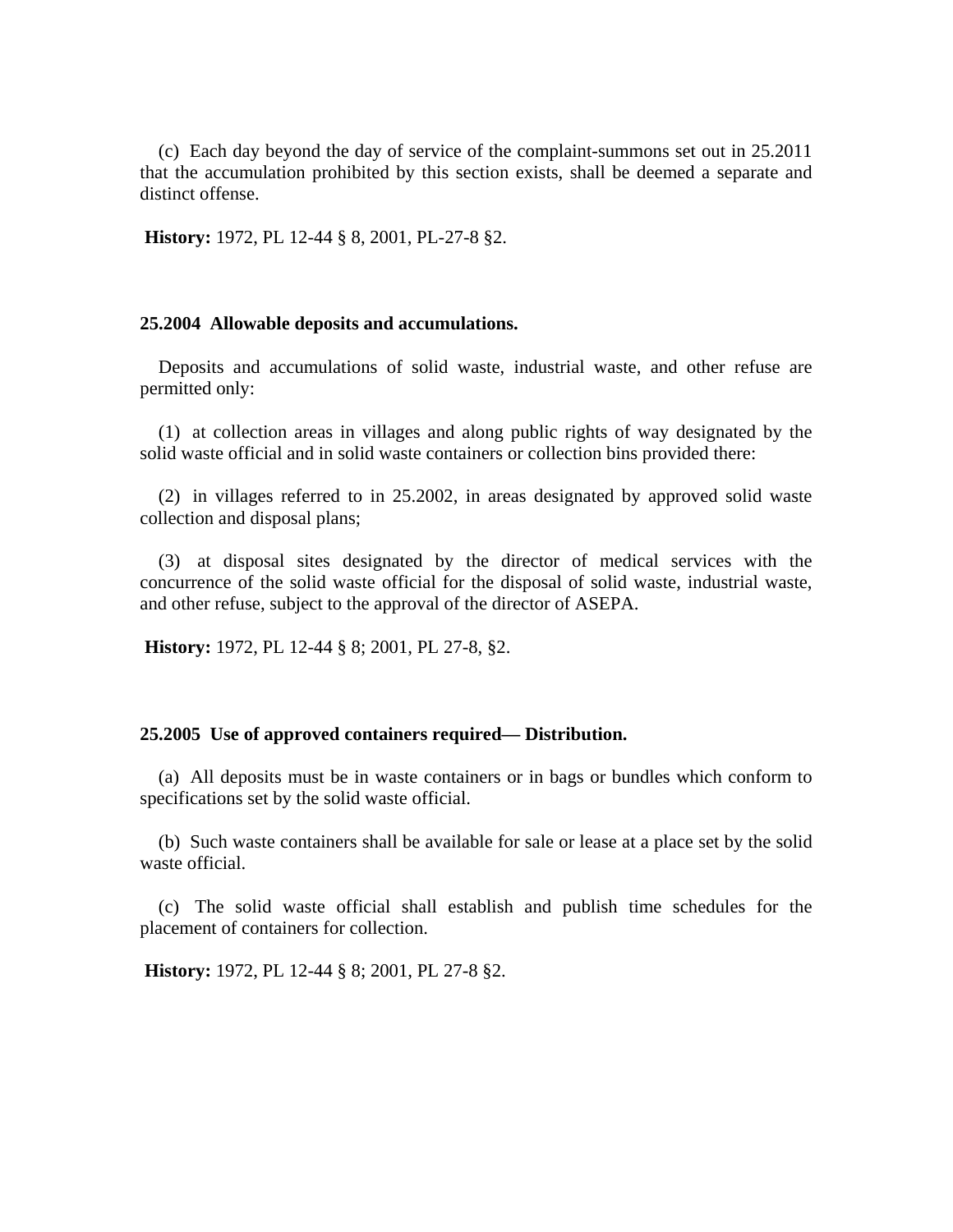(c) Each day beyond the day of service of the complaint-summons set out in 25.2011 that the accumulation prohibited by this section exists, shall be deemed a separate and distinct offense.

 **History:** 1972, PL 12-44 § 8, 2001, PL-27-8 §2.

#### **25.2004 Allowable deposits and accumulations.**

Deposits and accumulations of solid waste, industrial waste, and other refuse are permitted only:

(1) at collection areas in villages and along public rights of way designated by the solid waste official and in solid waste containers or collection bins provided there:

(2) in villages referred to in 25.2002, in areas designated by approved solid waste collection and disposal plans;

(3) at disposal sites designated by the director of medical services with the concurrence of the solid waste official for the disposal of solid waste, industrial waste, and other refuse, subject to the approval of the director of ASEPA.

**History:** 1972, PL 12-44 § 8; 2001, PL 27-8, §2.

#### **25.2005 Use of approved containers required— Distribution.**

(a) All deposits must be in waste containers or in bags or bundles which conform to specifications set by the solid waste official.

(b) Such waste containers shall be available for sale or lease at a place set by the solid waste official.

(c) The solid waste official shall establish and publish time schedules for the placement of containers for collection.

**History:** 1972, PL 12-44 § 8; 2001, PL 27-8 §2.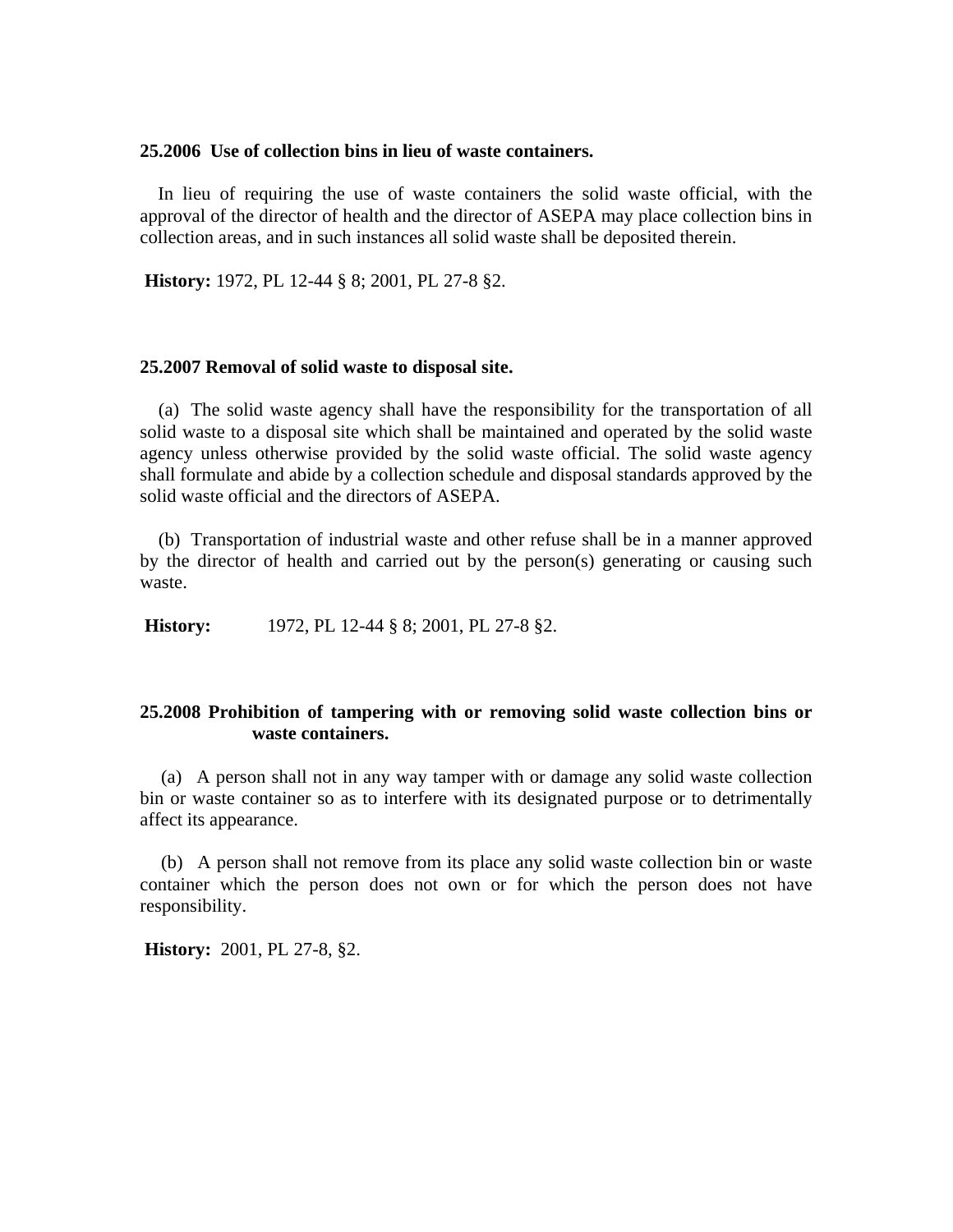## **25.2006 Use of collection bins in lieu of waste containers.**

In lieu of requiring the use of waste containers the solid waste official, with the approval of the director of health and the director of ASEPA may place collection bins in collection areas, and in such instances all solid waste shall be deposited therein.

**History:** 1972, PL 12-44 § 8; 2001, PL 27-8 §2.

#### **25.2007 Removal of solid waste to disposal site.**

(a) The solid waste agency shall have the responsibility for the transportation of all solid waste to a disposal site which shall be maintained and operated by the solid waste agency unless otherwise provided by the solid waste official. The solid waste agency shall formulate and abide by a collection schedule and disposal standards approved by the solid waste official and the directors of ASEPA.

(b) Transportation of industrial waste and other refuse shall be in a manner approved by the director of health and carried out by the person(s) generating or causing such waste.

**History:** 1972, PL 12-44 § 8; 2001, PL 27-8 §2.

## **25.2008 Prohibition of tampering with or removing solid waste collection bins or waste containers.**

(a) A person shall not in any way tamper with or damage any solid waste collection bin or waste container so as to interfere with its designated purpose or to detrimentally affect its appearance.

(b) A person shall not remove from its place any solid waste collection bin or waste container which the person does not own or for which the person does not have responsibility.

 **History:** 2001, PL 27-8, §2.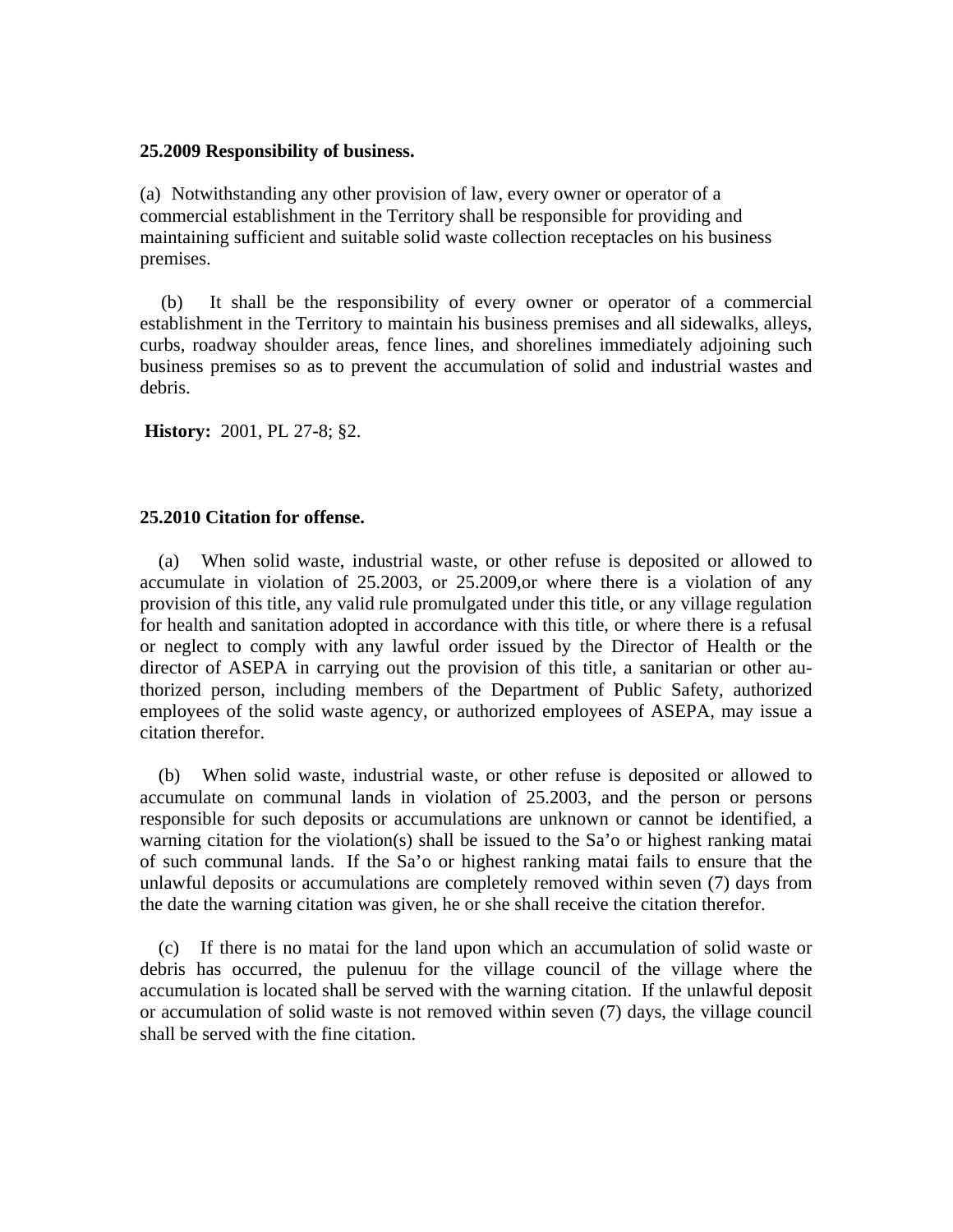#### **25.2009 Responsibility of business.**

(a) Notwithstanding any other provision of law, every owner or operator of a commercial establishment in the Territory shall be responsible for providing and maintaining sufficient and suitable solid waste collection receptacles on his business premises.

(b) It shall be the responsibility of every owner or operator of a commercial establishment in the Territory to maintain his business premises and all sidewalks, alleys, curbs, roadway shoulder areas, fence lines, and shorelines immediately adjoining such business premises so as to prevent the accumulation of solid and industrial wastes and debris.

**History:** 2001, PL 27-8; §2.

### **25.2010 Citation for offense.**

(a) When solid waste, industrial waste, or other refuse is deposited or allowed to accumulate in violation of 25.2003, or 25.2009,or where there is a violation of any provision of this title, any valid rule promulgated under this title, or any village regulation for health and sanitation adopted in accordance with this title, or where there is a refusal or neglect to comply with any lawful order issued by the Director of Health or the director of ASEPA in carrying out the provision of this title, a sanitarian or other authorized person, including members of the Department of Public Safety, authorized employees of the solid waste agency, or authorized employees of ASEPA, may issue a citation therefor.

(b) When solid waste, industrial waste, or other refuse is deposited or allowed to accumulate on communal lands in violation of 25.2003, and the person or persons responsible for such deposits or accumulations are unknown or cannot be identified, a warning citation for the violation(s) shall be issued to the Sa'o or highest ranking matai of such communal lands. If the Sa'o or highest ranking matai fails to ensure that the unlawful deposits or accumulations are completely removed within seven (7) days from the date the warning citation was given, he or she shall receive the citation therefor.

(c) If there is no matai for the land upon which an accumulation of solid waste or debris has occurred, the pulenuu for the village council of the village where the accumulation is located shall be served with the warning citation. If the unlawful deposit or accumulation of solid waste is not removed within seven (7) days, the village council shall be served with the fine citation.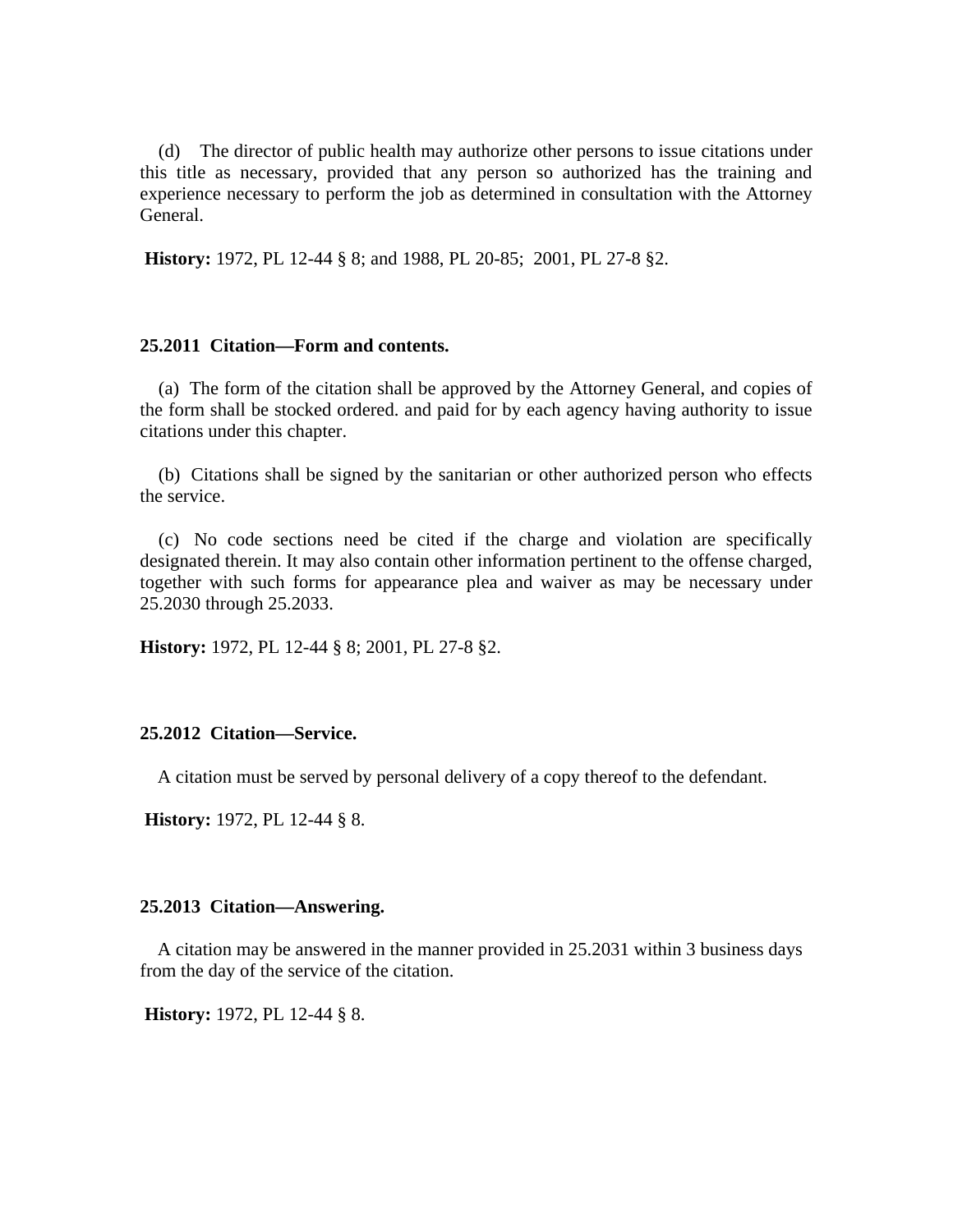(d) The director of public health may authorize other persons to issue citations under this title as necessary, provided that any person so authorized has the training and experience necessary to perform the job as determined in consultation with the Attorney General.

**History:** 1972, PL 12-44 § 8; and 1988, PL 20-85; 2001, PL 27-8 §2.

## **25.2011 Citation—Form and contents.**

(a) The form of the citation shall be approved by the Attorney General, and copies of the form shall be stocked ordered. and paid for by each agency having authority to issue citations under this chapter.

(b) Citations shall be signed by the sanitarian or other authorized person who effects the service.

(c) No code sections need be cited if the charge and violation are specifically designated therein. It may also contain other information pertinent to the offense charged, together with such forms for appearance plea and waiver as may be necessary under 25.2030 through 25.2033.

**History:** 1972, PL 12-44 § 8; 2001, PL 27-8 §2.

### **25.2012 Citation—Service.**

A citation must be served by personal delivery of a copy thereof to the defendant.

**History:** 1972, PL 12-44 § 8.

#### **25.2013 Citation—Answering.**

A citation may be answered in the manner provided in 25.2031 within 3 business days from the day of the service of the citation.

 **History:** 1972, PL 12-44 § 8.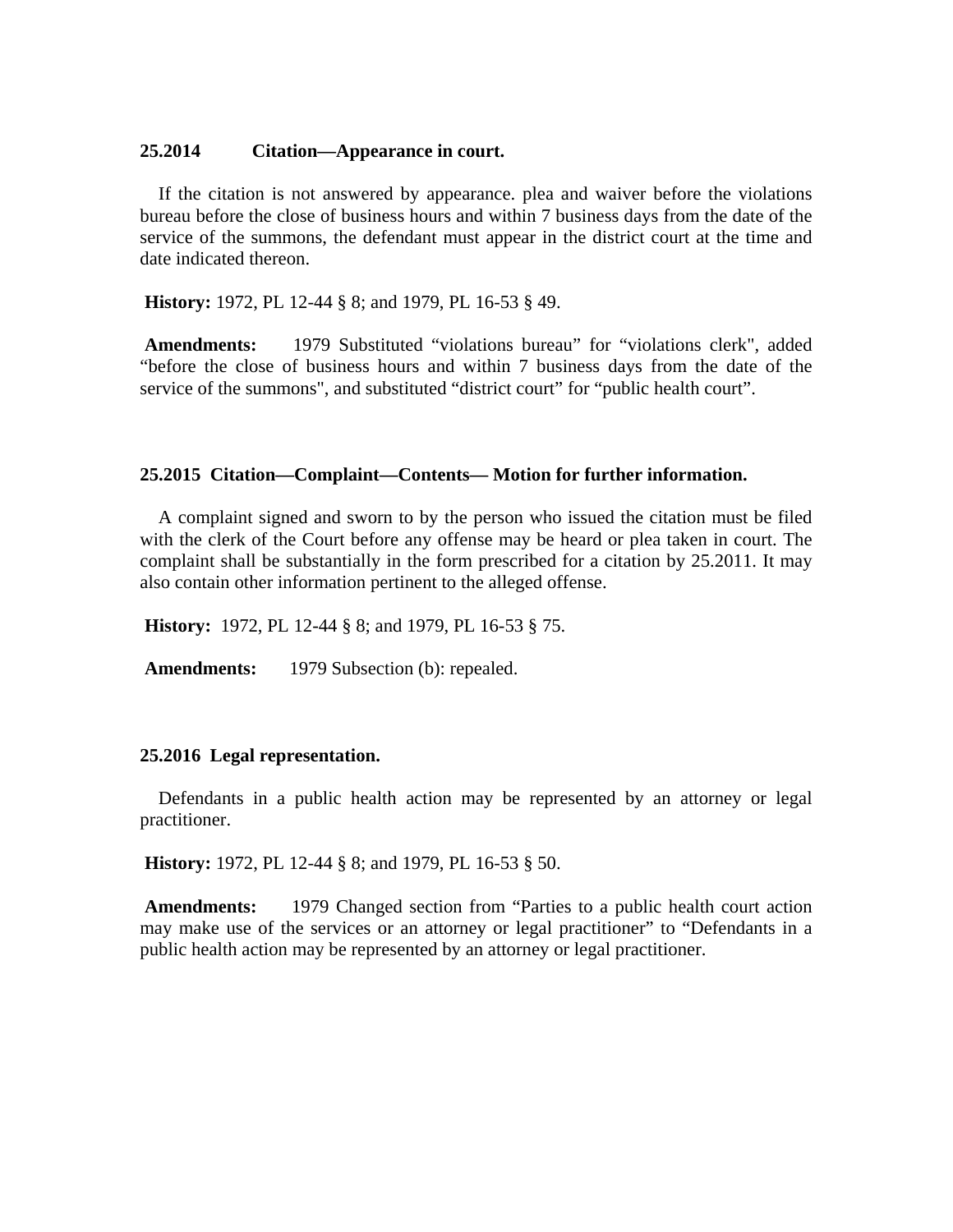#### **25.2014 Citation—Appearance in court.**

If the citation is not answered by appearance. plea and waiver before the violations bureau before the close of business hours and within 7 business days from the date of the service of the summons, the defendant must appear in the district court at the time and date indicated thereon.

**History:** 1972, PL 12-44 § 8; and 1979, PL 16-53 § 49.

 **Amendments:** 1979 Substituted "violations bureau" for "violations clerk", added "before the close of business hours and within 7 business days from the date of the service of the summons", and substituted "district court" for "public health court".

#### **25.2015 Citation—Complaint—Contents— Motion for further information.**

A complaint signed and sworn to by the person who issued the citation must be filed with the clerk of the Court before any offense may be heard or plea taken in court. The complaint shall be substantially in the form prescribed for a citation by 25.2011. It may also contain other information pertinent to the alleged offense.

**History:** 1972, PL 12-44 § 8; and 1979, PL 16-53 § 75.

Amendments: 1979 Subsection (b): repealed.

## **25.2016 Legal representation.**

Defendants in a public health action may be represented by an attorney or legal practitioner.

**History:** 1972, PL 12-44 § 8; and 1979, PL 16-53 § 50.

**Amendments:** 1979 Changed section from "Parties to a public health court action may make use of the services or an attorney or legal practitioner" to "Defendants in a public health action may be represented by an attorney or legal practitioner.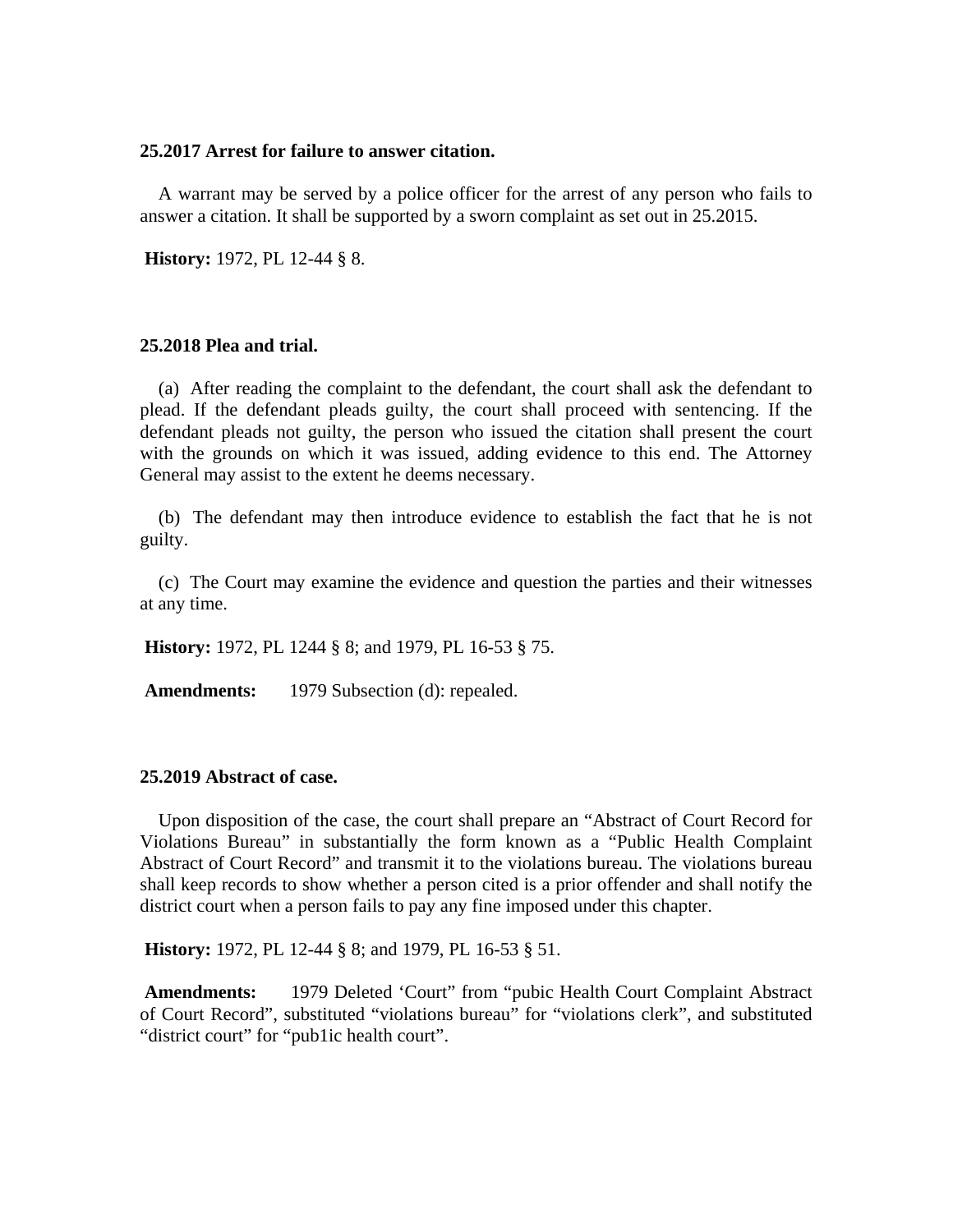#### **25.2017 Arrest for failure to answer citation.**

A warrant may be served by a police officer for the arrest of any person who fails to answer a citation. It shall be supported by a sworn complaint as set out in 25.2015.

**History:** 1972, PL 12-44 § 8.

#### **25.2018 Plea and trial.**

(a) After reading the complaint to the defendant, the court shall ask the defendant to plead. If the defendant pleads guilty, the court shall proceed with sentencing. If the defendant pleads not guilty, the person who issued the citation shall present the court with the grounds on which it was issued, adding evidence to this end. The Attorney General may assist to the extent he deems necessary.

(b) The defendant may then introduce evidence to establish the fact that he is not guilty.

(c) The Court may examine the evidence and question the parties and their witnesses at any time.

**History:** 1972, PL 1244 § 8; and 1979, PL 16-53 § 75.

Amendments: 1979 Subsection (d): repealed.

#### **25.2019 Abstract of case.**

Upon disposition of the case, the court shall prepare an "Abstract of Court Record for Violations Bureau" in substantially the form known as a "Public Health Complaint Abstract of Court Record" and transmit it to the violations bureau. The violations bureau shall keep records to show whether a person cited is a prior offender and shall notify the district court when a person fails to pay any fine imposed under this chapter.

**History:** 1972, PL 12-44 § 8; and 1979, PL 16-53 § 51.

 **Amendments:** 1979 Deleted 'Court" from "pubic Health Court Complaint Abstract of Court Record", substituted "violations bureau" for "violations clerk", and substituted "district court" for "pub1ic health court".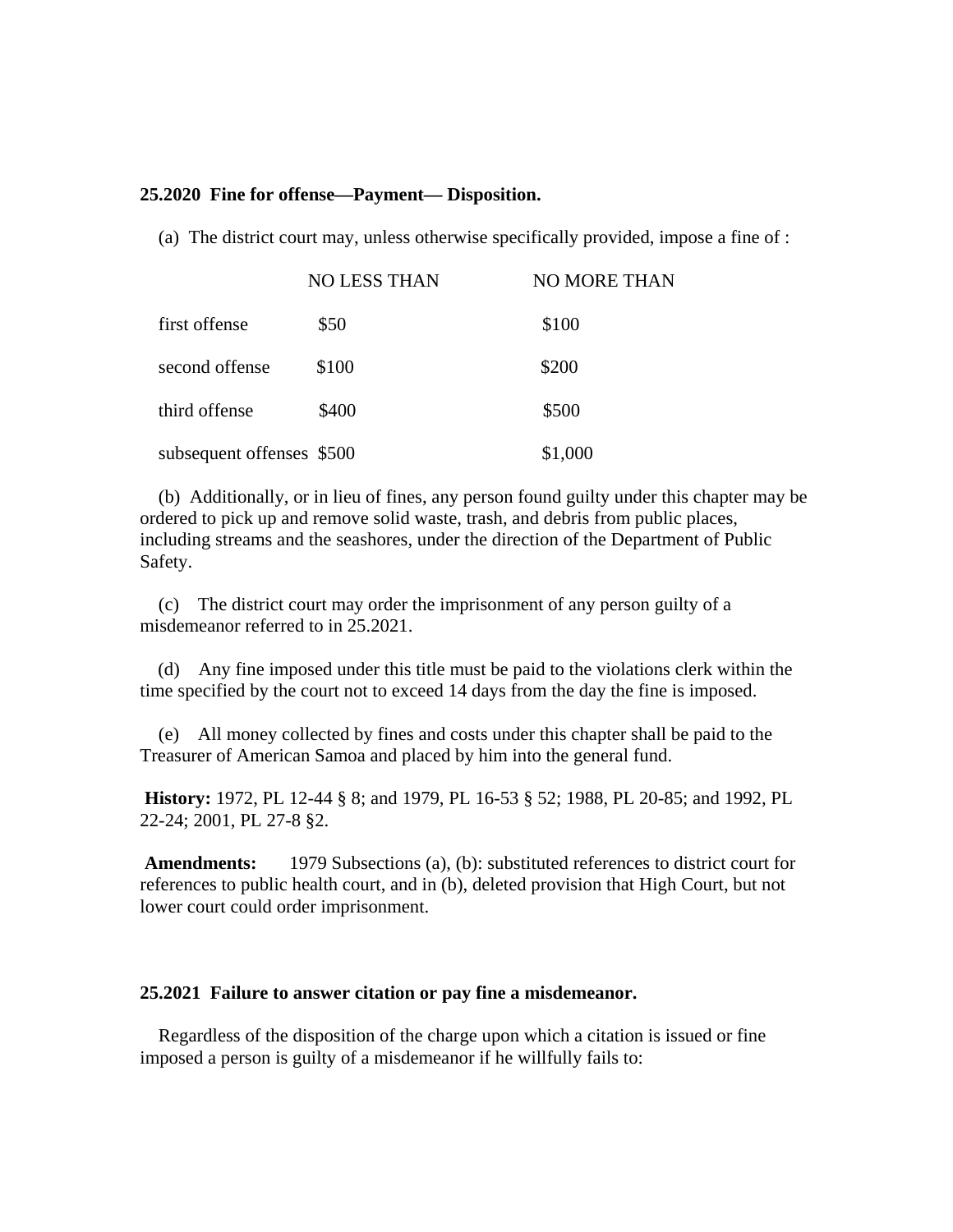#### **25.2020 Fine for offense—Payment— Disposition.**

(a) The district court may, unless otherwise specifically provided, impose a fine of :

|                           | <b>NO LESS THAN</b> | <b>NO MORE THAN</b> |
|---------------------------|---------------------|---------------------|
| first offense             | \$50                | \$100               |
| second offense            | \$100               | \$200               |
| third offense             | \$400               | \$500               |
| subsequent offenses \$500 |                     | \$1,000             |

(b) Additionally, or in lieu of fines, any person found guilty under this chapter may be ordered to pick up and remove solid waste, trash, and debris from public places, including streams and the seashores, under the direction of the Department of Public Safety.

(c) The district court may order the imprisonment of any person guilty of a misdemeanor referred to in 25.2021.

(d) Any fine imposed under this title must be paid to the violations clerk within the time specified by the court not to exceed 14 days from the day the fine is imposed.

(e) All money collected by fines and costs under this chapter shall be paid to the Treasurer of American Samoa and placed by him into the general fund.

**History:** 1972, PL 12-44 § 8; and 1979, PL 16-53 § 52; 1988, PL 20-85; and 1992, PL 22-24; 2001, PL 27-8 §2.

**Amendments:** 1979 Subsections (a), (b): substituted references to district court for references to public health court, and in (b), deleted provision that High Court, but not lower court could order imprisonment.

### **25.2021 Failure to answer citation or pay fine a misdemeanor.**

Regardless of the disposition of the charge upon which a citation is issued or fine imposed a person is guilty of a misdemeanor if he willfully fails to: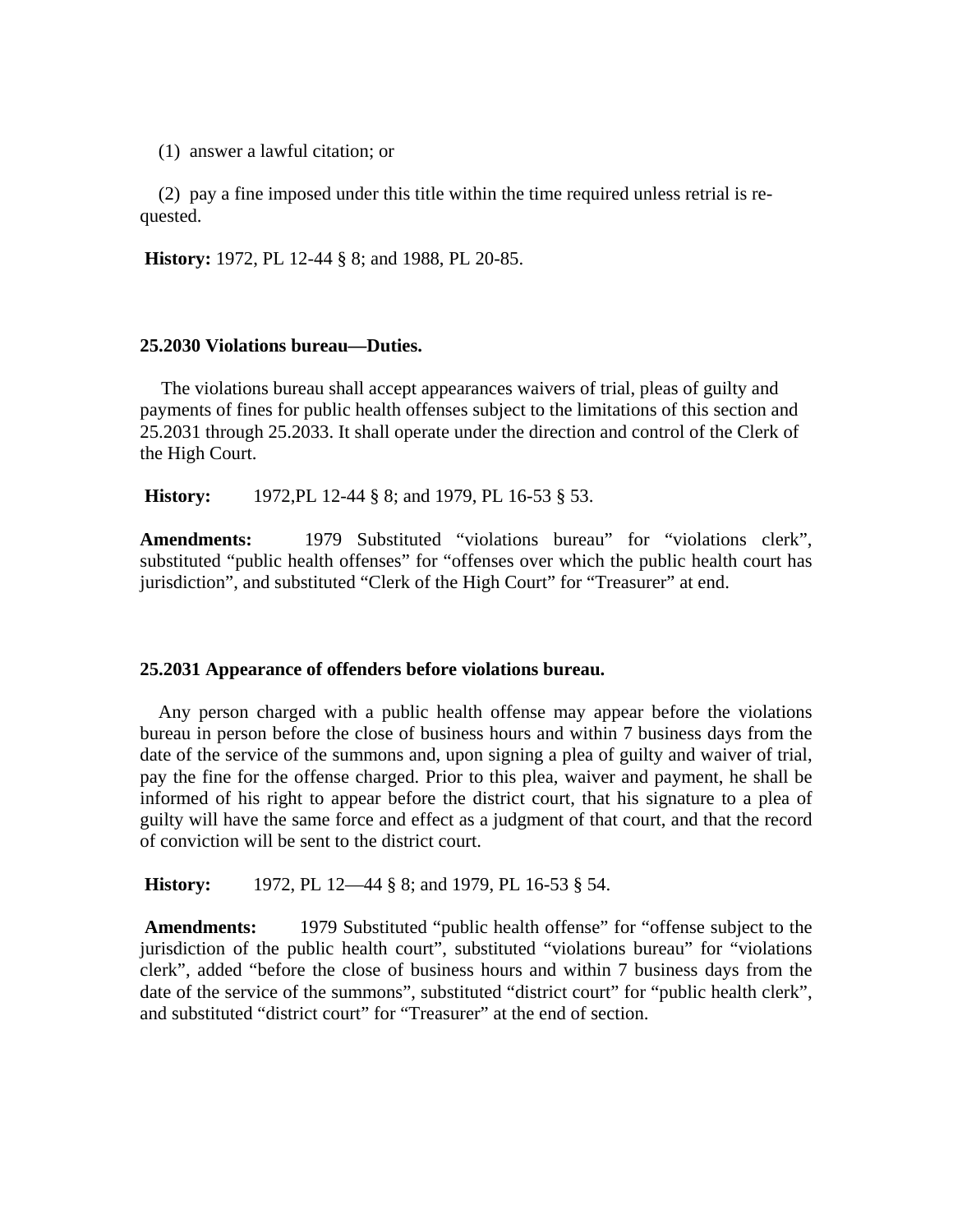(1) answer a lawful citation; or

(2) pay a fine imposed under this title within the time required unless retrial is requested.

**History:** 1972, PL 12-44 § 8; and 1988, PL 20-85.

## **25.2030 Violations bureau—Duties.**

The violations bureau shall accept appearances waivers of trial, pleas of guilty and payments of fines for public health offenses subject to the limitations of this section and 25.2031 through 25.2033. It shall operate under the direction and control of the Clerk of the High Court.

 **History:** 1972,PL 12-44 § 8; and 1979, PL 16-53 § 53.

Amendments: 1979 Substituted "violations bureau" for "violations clerk", substituted "public health offenses" for "offenses over which the public health court has jurisdiction", and substituted "Clerk of the High Court" for "Treasurer" at end.

# **25.2031 Appearance of offenders before violations bureau.**

Any person charged with a public health offense may appear before the violations bureau in person before the close of business hours and within 7 business days from the date of the service of the summons and, upon signing a plea of guilty and waiver of trial, pay the fine for the offense charged. Prior to this plea, waiver and payment, he shall be informed of his right to appear before the district court, that his signature to a plea of guilty will have the same force and effect as a judgment of that court, and that the record of conviction will be sent to the district court.

**History:** 1972, PL 12—44 § 8; and 1979, PL 16-53 § 54.

**Amendments:** 1979 Substituted "public health offense" for "offense subject to the jurisdiction of the public health court", substituted "violations bureau" for "violations clerk", added "before the close of business hours and within 7 business days from the date of the service of the summons", substituted "district court" for "public health clerk", and substituted "district court" for "Treasurer" at the end of section.